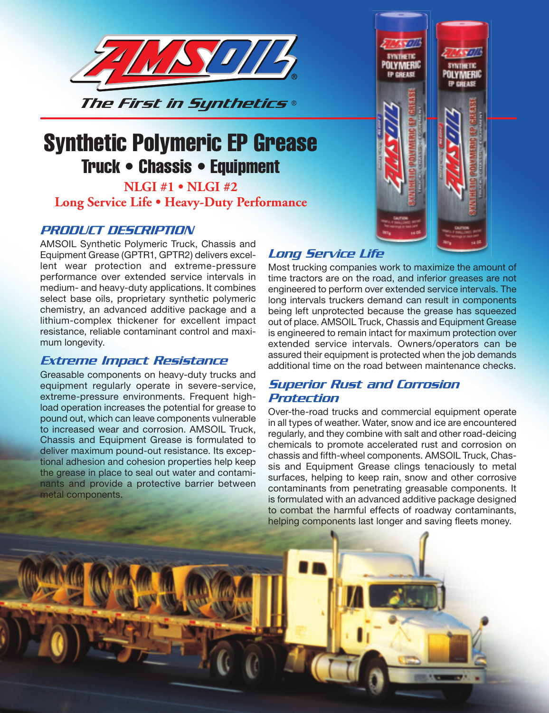

# Synthetic Polymeric EP Grease Truck • Chassis • Equipment

# **NLGI #1 • NLGI #2 Long Service Life • Heavy-Duty Performance**

# *PRODUCT DESCRIPTION*

AMSOIL Synthetic Polymeric Truck, Chassis and Equipment Grease (GPTR1, GPTR2) delivers excellent wear protection and extreme-pressure performance over extended service intervals in medium- and heavy-duty applications. It combines select base oils, proprietary synthetic polymeric chemistry, an advanced additive package and a lithium-complex thickener for excellent impact resistance, reliable contaminant control and maximum longevity.

# *Extreme Impact Resistance*

Greasable components on heavy-duty trucks and equipment regularly operate in severe-service, extreme-pressure environments. Frequent highload operation increases the potential for grease to pound out, which can leave components vulnerable to increased wear and corrosion. AMSOIL Truck, Chassis and Equipment Grease is formulated to deliver maximum pound-out resistance. Its exceptional adhesion and cohesion properties help keep the grease in place to seal out water and contaminants and provide a protective barrier between metal components.

# **YNTHETIC DI YMFRIC P CREASE**

# *Long Service Life*

Most trucking companies work to maximize the amount of time tractors are on the road, and inferior greases are not engineered to perform over extended service intervals. The long intervals truckers demand can result in components being left unprotected because the grease has squeezed out of place. AMSOIL Truck, Chassis and Equipment Grease is engineered to remain intact for maximum protection over extended service intervals. Owners/operators can be assured their equipment is protected when the job demands additional time on the road between maintenance checks.

# *Superior Rust and Corrosion Protection*

Over-the-road trucks and commercial equipment operate in all types of weather. Water, snow and ice are encountered regularly, and they combine with salt and other road-deicing chemicals to promote accelerated rust and corrosion on chassis and fifth-wheel components. AMSOIL Truck, Chassis and Equipment Grease clings tenaciously to metal surfaces, helping to keep rain, snow and other corrosive contaminants from penetrating greasable components. It is formulated with an advanced additive package designed to combat the harmful effects of roadway contaminants, helping components last longer and saving fleets money.